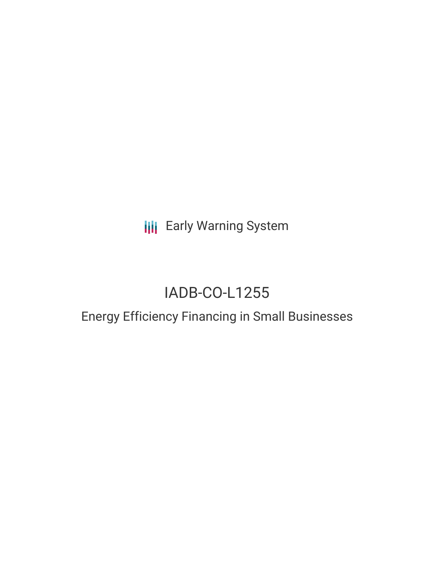**III** Early Warning System

# IADB-CO-L1255

## Energy Efficiency Financing in Small Businesses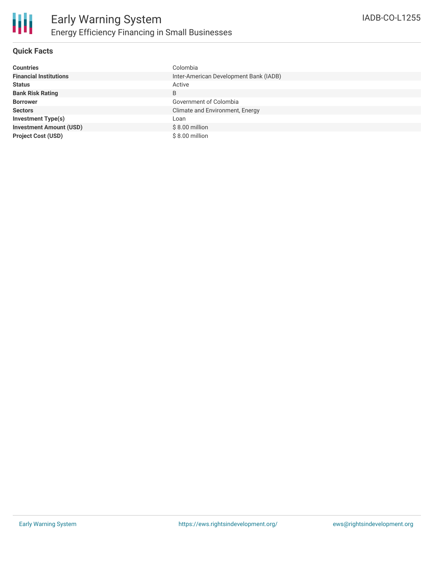

### **Quick Facts**

| <b>Countries</b>               | Colombia                               |
|--------------------------------|----------------------------------------|
| <b>Financial Institutions</b>  | Inter-American Development Bank (IADB) |
| <b>Status</b>                  | Active                                 |
| <b>Bank Risk Rating</b>        | B                                      |
| <b>Borrower</b>                | Government of Colombia                 |
| <b>Sectors</b>                 | Climate and Environment, Energy        |
| <b>Investment Type(s)</b>      | Loan                                   |
| <b>Investment Amount (USD)</b> | $$8.00$ million                        |
| <b>Project Cost (USD)</b>      | \$8.00 million                         |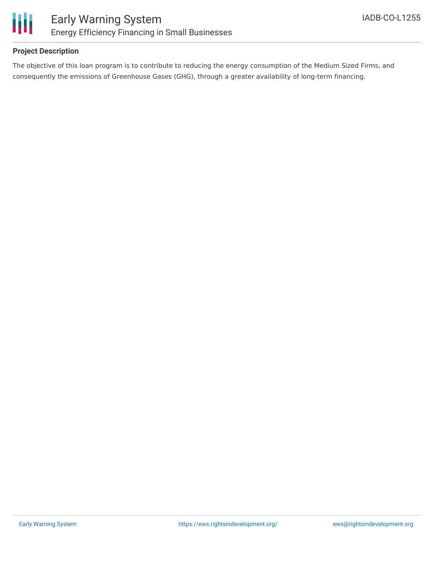

### **Project Description**

The objective of this loan program is to contribute to reducing the energy consumption of the Medium Sized Firms, and consequently the emissions of Greenhouse Gases (GHG), through a greater availability of long-term financing.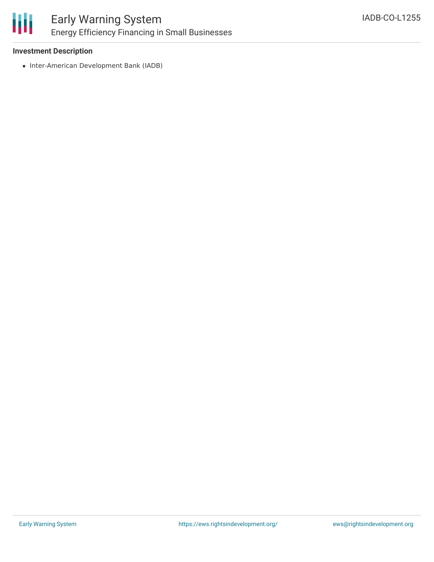

### Early Warning System Energy Efficiency Financing in Small Businesses

### **Investment Description**

• Inter-American Development Bank (IADB)